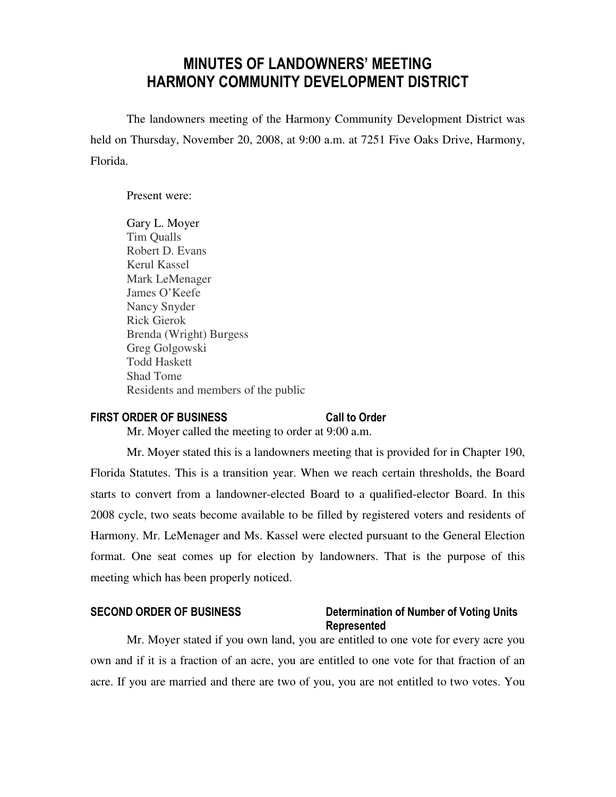# MINUTES OF LANDOWNERS' MEETING HARMONY COMMUNITY DEVELOPMENT DISTRICT

 The landowners meeting of the Harmony Community Development District was held on Thursday, November 20, 2008, at 9:00 a.m. at 7251 Five Oaks Drive, Harmony, Florida.

Present were:

Gary L. Moyer Tim Qualls Robert D. Evans Kerul Kassel Mark LeMenager James O'Keefe Nancy Snyder Rick Gierok Brenda (Wright) Burgess Greg Golgowski Todd Haskett Shad Tome Residents and members of the public

## FIRST ORDER OF BUSINESS Call to Order

Mr. Moyer called the meeting to order at 9:00 a.m.

 Mr. Moyer stated this is a landowners meeting that is provided for in Chapter 190, Florida Statutes. This is a transition year. When we reach certain thresholds, the Board starts to convert from a landowner-elected Board to a qualified-elector Board. In this 2008 cycle, two seats become available to be filled by registered voters and residents of Harmony. Mr. LeMenager and Ms. Kassel were elected pursuant to the General Election format. One seat comes up for election by landowners. That is the purpose of this meeting which has been properly noticed.

## SECOND ORDER OF BUSINESS Determination of Number of Voting Units Represented

 Mr. Moyer stated if you own land, you are entitled to one vote for every acre you own and if it is a fraction of an acre, you are entitled to one vote for that fraction of an acre. If you are married and there are two of you, you are not entitled to two votes. You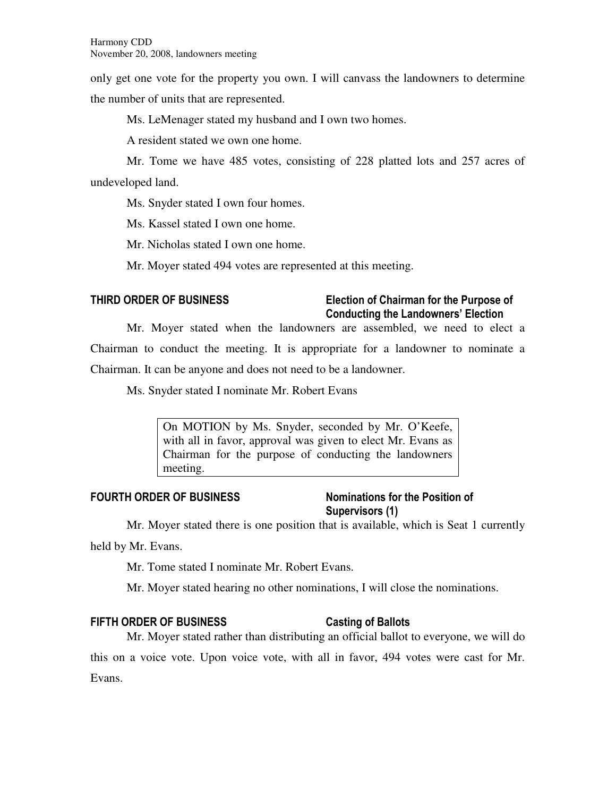only get one vote for the property you own. I will canvass the landowners to determine the number of units that are represented.

Ms. LeMenager stated my husband and I own two homes.

A resident stated we own one home.

 Mr. Tome we have 485 votes, consisting of 228 platted lots and 257 acres of undeveloped land.

Ms. Snyder stated I own four homes.

Ms. Kassel stated I own one home.

Mr. Nicholas stated I own one home.

Mr. Moyer stated 494 votes are represented at this meeting.

## THIRD ORDER OF BUSINESS Election of Chairman for the Purpose of Conducting the Landowners' Election

 Mr. Moyer stated when the landowners are assembled, we need to elect a Chairman to conduct the meeting. It is appropriate for a landowner to nominate a Chairman. It can be anyone and does not need to be a landowner.

Ms. Snyder stated I nominate Mr. Robert Evans

On MOTION by Ms. Snyder, seconded by Mr. O'Keefe, with all in favor, approval was given to elect Mr. Evans as Chairman for the purpose of conducting the landowners meeting.

## FOURTH ORDER OF BUSINESS Nominations for the Position of

# Supervisors (1)

Mr. Moyer stated there is one position that is available, which is Seat 1 currently

held by Mr. Evans.

Mr. Tome stated I nominate Mr. Robert Evans.

Mr. Moyer stated hearing no other nominations, I will close the nominations.

## FIFTH ORDER OF BUSINESS Casting of Ballots

 Mr. Moyer stated rather than distributing an official ballot to everyone, we will do this on a voice vote. Upon voice vote, with all in favor, 494 votes were cast for Mr. Evans.